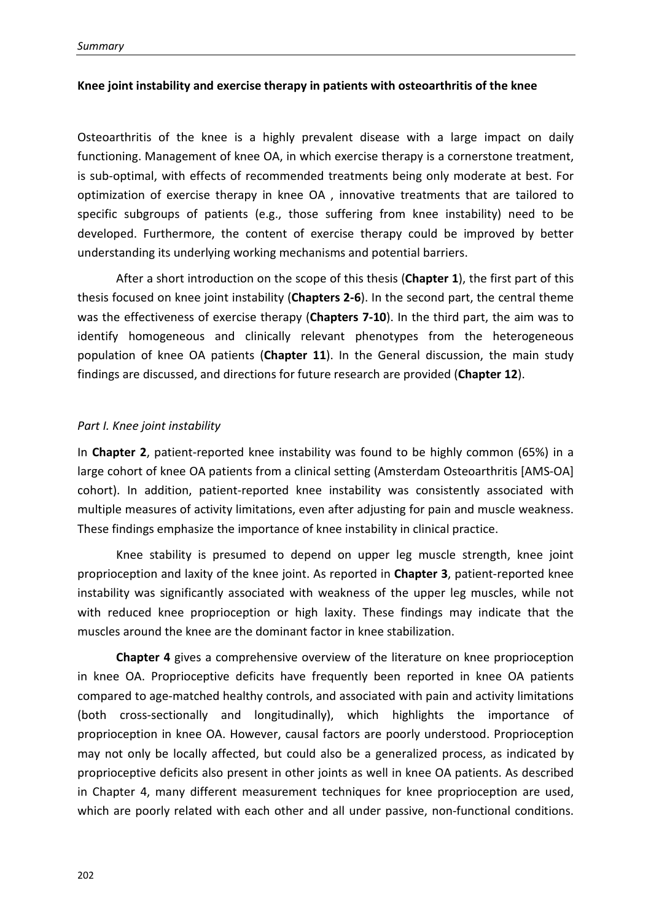## **Knee joint instability and exercise therapy in patients with osteoarthritis of the knee**

Osteoarthritis of the knee is a highly prevalent disease with a large impact on daily functioning. Management of knee OA, in which exercise therapy is a cornerstone treatment, is sub-optimal, with effects of recommended treatments being only moderate at best. For optimization of exercise therapy in knee OA , innovative treatments that are tailored to specific subgroups of patients (e.g., those suffering from knee instability) need to be developed. Furthermore, the content of exercise therapy could be improved by better understanding its underlying working mechanisms and potential barriers.

After a short introduction on the scope of this thesis (**Chapter 1**), the first part of this thesis focused on knee joint instability (**Chapters 2-6**). In the second part, the central theme was the effectiveness of exercise therapy (**Chapters 7-10**). In the third part, the aim was to identify homogeneous and clinically relevant phenotypes from the heterogeneous population of knee OA patients (**Chapter 11**). In the General discussion, the main study findings are discussed, and directions for future research are provided (**Chapter 12**).

## *Part I. Knee joint instability*

In **Chapter 2**, patient-reported knee instability was found to be highly common (65%) in a large cohort of knee OA patients from a clinical setting (Amsterdam Osteoarthritis [AMS-OA] cohort). In addition, patient-reported knee instability was consistently associated with multiple measures of activity limitations, even after adjusting for pain and muscle weakness. These findings emphasize the importance of knee instability in clinical practice.

 Knee stability is presumed to depend on upper leg muscle strength, knee joint proprioception and laxity of the knee joint. As reported in **Chapter 3**, patient-reported knee instability was significantly associated with weakness of the upper leg muscles, while not with reduced knee proprioception or high laxity. These findings may indicate that the muscles around the knee are the dominant factor in knee stabilization.

**Chapter 4** gives a comprehensive overview of the literature on knee proprioception in knee OA. Proprioceptive deficits have frequently been reported in knee OA patients compared to age-matched healthy controls, and associated with pain and activity limitations (both cross-sectionally and longitudinally), which highlights the importance of proprioception in knee OA. However, causal factors are poorly understood. Proprioception may not only be locally affected, but could also be a generalized process, as indicated by proprioceptive deficits also present in other joints as well in knee OA patients. As described in Chapter 4, many different measurement techniques for knee proprioception are used, which are poorly related with each other and all under passive, non-functional conditions.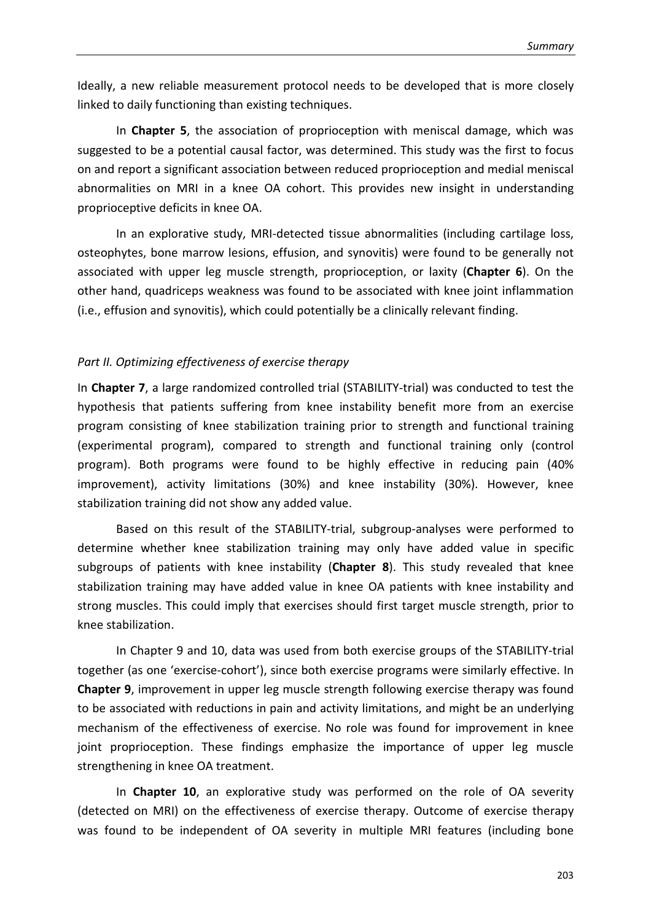Ideally, a new reliable measurement protocol needs to be developed that is more closely linked to daily functioning than existing techniques.

 In **Chapter 5**, the association of proprioception with meniscal damage, which was suggested to be a potential causal factor, was determined. This study was the first to focus on and report a significant association between reduced proprioception and medial meniscal abnormalities on MRI in a knee OA cohort. This provides new insight in understanding proprioceptive deficits in knee OA.

In an explorative study, MRI-detected tissue abnormalities (including cartilage loss, osteophytes, bone marrow lesions, effusion, and synovitis) were found to be generally not associated with upper leg muscle strength, proprioception, or laxity (**Chapter 6**). On the other hand, quadriceps weakness was found to be associated with knee joint inflammation (i.e., effusion and synovitis), which could potentially be a clinically relevant finding.

## *Part II. Optimizing effectiveness of exercise therapy*

In **Chapter 7**, a large randomized controlled trial (STABILITY-trial) was conducted to test the hypothesis that patients suffering from knee instability benefit more from an exercise program consisting of knee stabilization training prior to strength and functional training (experimental program), compared to strength and functional training only (control program). Both programs were found to be highly effective in reducing pain (40% improvement), activity limitations (30%) and knee instability (30%). However, knee stabilization training did not show any added value.

Based on this result of the STABILITY-trial, subgroup-analyses were performed to determine whether knee stabilization training may only have added value in specific subgroups of patients with knee instability (**Chapter 8**). This study revealed that knee stabilization training may have added value in knee OA patients with knee instability and strong muscles. This could imply that exercises should first target muscle strength, prior to knee stabilization.

In Chapter 9 and 10, data was used from both exercise groups of the STABILITY-trial together (as one 'exercise-cohort'), since both exercise programs were similarly effective. In **Chapter 9**, improvement in upper leg muscle strength following exercise therapy was found to be associated with reductions in pain and activity limitations, and might be an underlying mechanism of the effectiveness of exercise. No role was found for improvement in knee joint proprioception. These findings emphasize the importance of upper leg muscle strengthening in knee OA treatment.

In **Chapter 10**, an explorative study was performed on the role of OA severity (detected on MRI) on the effectiveness of exercise therapy. Outcome of exercise therapy was found to be independent of OA severity in multiple MRI features (including bone